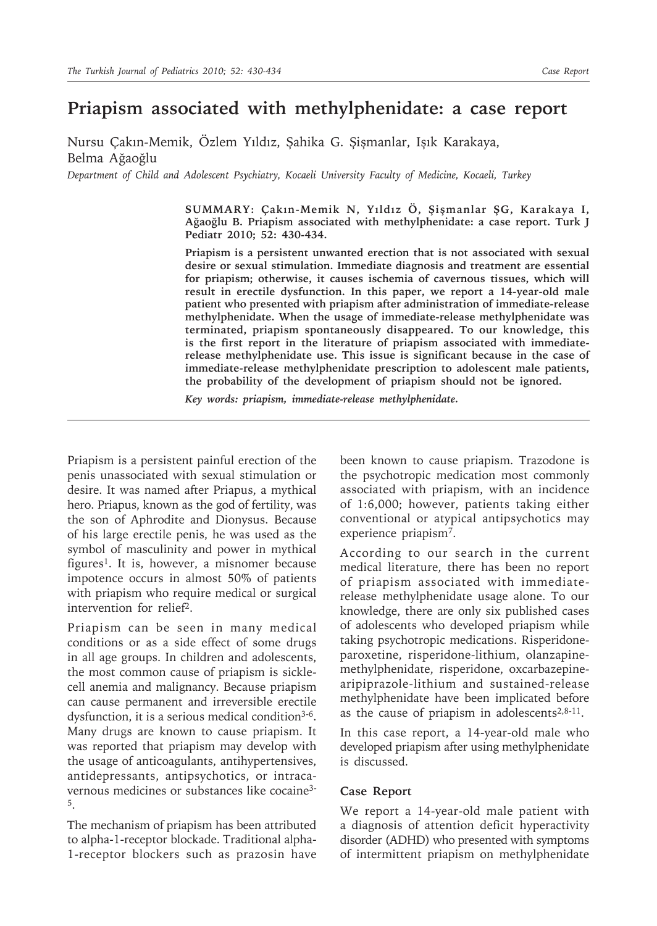## **Priapism associated with methylphenidate: a case report**

Nursu Çakın-Memik, Özlem Yıldız, Şahika G. Şişmanlar, Işık Karakaya, Belma Ağaoğlu

*Department of Child and Adolescent Psychiatry, Kocaeli University Faculty of Medicine, Kocaeli, Turkey*

**SUMMARY: Çakın-Memik N, Yıldız Ö, Şişmanlar ŞG, Karakaya I, Ağaoğlu B. Priapism associated with methylphenidate: a case report. Turk J Pediatr 2010; 52: 430-434.**

**Priapism is a persistent unwanted erection that is not associated with sexual desire or sexual stimulation. Immediate diagnosis and treatment are essential for priapism; otherwise, it causes ischemia of cavernous tissues, which will result in erectile dysfunction. In this paper, we report a 14-year-old male patient who presented with priapism after administration of immediate-release methylphenidate. When the usage of immediate-release methylphenidate was terminated, priapism spontaneously disappeared. To our knowledge, this is the first report in the literature of priapism associated with immediaterelease methylphenidate use. This issue is significant because in the case of immediate-release methylphenidate prescription to adolescent male patients, the probability of the development of priapism should not be ignored.**

*Key words: priapism, immediate-release methylphenidate.*

Priapism is a persistent painful erection of the penis unassociated with sexual stimulation or desire. It was named after Priapus, a mythical hero. Priapus, known as the god of fertility, was the son of Aphrodite and Dionysus. Because of his large erectile penis, he was used as the symbol of masculinity and power in mythical figures1. It is, however, a misnomer because impotence occurs in almost 50% of patients with priapism who require medical or surgical intervention for relief2.

Priapism can be seen in many medical conditions or as a side effect of some drugs in all age groups. In children and adolescents, the most common cause of priapism is sicklecell anemia and malignancy. Because priapism can cause permanent and irreversible erectile dysfunction, it is a serious medical condition<sup>3-6</sup>. Many drugs are known to cause priapism. It was reported that priapism may develop with the usage of anticoagulants, antihypertensives, antidepressants, antipsychotics, or intracavernous medicines or substances like cocaine3- 5.

The mechanism of priapism has been attributed to alpha-1-receptor blockade. Traditional alpha-1-receptor blockers such as prazosin have

been known to cause priapism. Trazodone is the psychotropic medication most commonly associated with priapism, with an incidence of 1:6,000; however, patients taking either conventional or atypical antipsychotics may experience priapism7.

According to our search in the current medical literature, there has been no report of priapism associated with immediaterelease methylphenidate usage alone. To our knowledge, there are only six published cases of adolescents who developed priapism while taking psychotropic medications. Risperidoneparoxetine, risperidone-lithium, olanzapinemethylphenidate, risperidone, oxcarbazepinearipiprazole-lithium and sustained-release methylphenidate have been implicated before as the cause of priapism in adolescents $2,8-11$ .

In this case report, a 14-year-old male who developed priapism after using methylphenidate is discussed.

## **Case Report**

We report a 14-year-old male patient with a diagnosis of attention deficit hyperactivity disorder (ADHD) who presented with symptoms of intermittent priapism on methylphenidate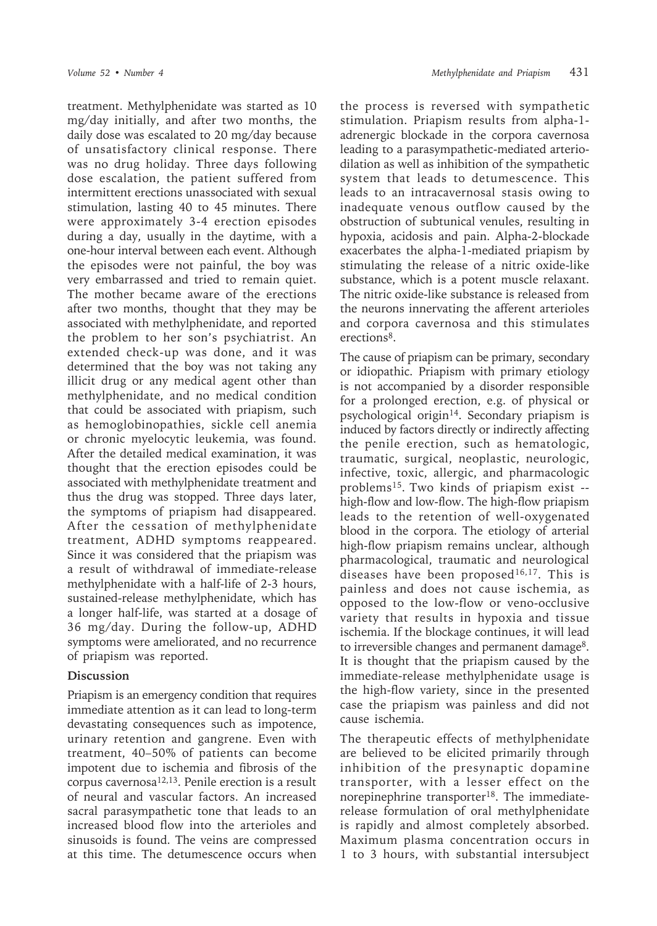treatment. Methylphenidate was started as 10 mg/day initially, and after two months, the daily dose was escalated to 20 mg/day because of unsatisfactory clinical response. There was no drug holiday. Three days following dose escalation, the patient suffered from intermittent erections unassociated with sexual stimulation, lasting 40 to 45 minutes. There were approximately 3-4 erection episodes during a day, usually in the daytime, with a one-hour interval between each event. Although the episodes were not painful, the boy was very embarrassed and tried to remain quiet. The mother became aware of the erections after two months, thought that they may be associated with methylphenidate, and reported the problem to her son's psychiatrist. An extended check-up was done, and it was determined that the boy was not taking any illicit drug or any medical agent other than methylphenidate, and no medical condition that could be associated with priapism, such as hemoglobinopathies, sickle cell anemia or chronic myelocytic leukemia, was found. After the detailed medical examination, it was thought that the erection episodes could be associated with methylphenidate treatment and thus the drug was stopped. Three days later, the symptoms of priapism had disappeared. After the cessation of methylphenidate treatment, ADHD symptoms reappeared. Since it was considered that the priapism was a result of withdrawal of immediate-release methylphenidate with a half-life of 2-3 hours, sustained-release methylphenidate, which has a longer half-life, was started at a dosage of 36 mg/day. During the follow-up, ADHD symptoms were ameliorated, and no recurrence of priapism was reported.

## **Discussion**

Priapism is an emergency condition that requires immediate attention as it can lead to long-term devastating consequences such as impotence, urinary retention and gangrene. Even with treatment, 40–50% of patients can become impotent due to ischemia and fibrosis of the corpus cavernosa12,13. Penile erection is a result of neural and vascular factors. An increased sacral parasympathetic tone that leads to an increased blood flow into the arterioles and sinusoids is found. The veins are compressed at this time. The detumescence occurs when

the process is reversed with sympathetic stimulation. Priapism results from alpha-1 adrenergic blockade in the corpora cavernosa leading to a parasympathetic-mediated arteriodilation as well as inhibition of the sympathetic system that leads to detumescence. This leads to an intracavernosal stasis owing to inadequate venous outflow caused by the obstruction of subtunical venules, resulting in hypoxia, acidosis and pain. Alpha-2-blockade exacerbates the alpha-1-mediated priapism by stimulating the release of a nitric oxide-like substance, which is a potent muscle relaxant. The nitric oxide-like substance is released from the neurons innervating the afferent arterioles and corpora cavernosa and this stimulates erections<sup>8</sup>.

The cause of priapism can be primary, secondary or idiopathic. Priapism with primary etiology is not accompanied by a disorder responsible for a prolonged erection, e.g. of physical or psychological origin14. Secondary priapism is induced by factors directly or indirectly affecting the penile erection, such as hematologic, traumatic, surgical, neoplastic, neurologic, infective, toxic, allergic, and pharmacologic problems15. Two kinds of priapism exist - high-flow and low-flow. The high-flow priapism leads to the retention of well-oxygenated blood in the corpora. The etiology of arterial high-flow priapism remains unclear, although pharmacological, traumatic and neurological diseases have been proposed<sup>16,17</sup>. This is painless and does not cause ischemia, as opposed to the low-flow or veno-occlusive variety that results in hypoxia and tissue ischemia. If the blockage continues, it will lead to irreversible changes and permanent damage<sup>8</sup>. It is thought that the priapism caused by the immediate-release methylphenidate usage is the high-flow variety, since in the presented case the priapism was painless and did not cause ischemia.

The therapeutic effects of methylphenidate are believed to be elicited primarily through inhibition of the presynaptic dopamine transporter, with a lesser effect on the norepinephrine transporter<sup>18</sup>. The immediaterelease formulation of oral methylphenidate is rapidly and almost completely absorbed. Maximum plasma concentration occurs in 1 to 3 hours, with substantial intersubject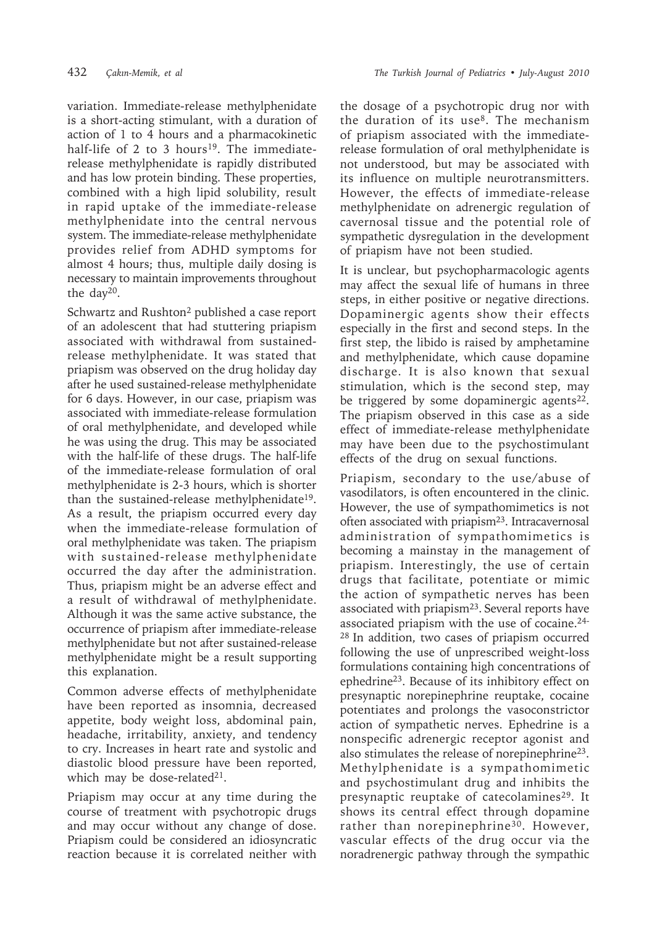variation. Immediate-release methylphenidate is a short-acting stimulant, with a duration of action of 1 to 4 hours and a pharmacokinetic half-life of 2 to 3 hours<sup>19</sup>. The immediaterelease methylphenidate is rapidly distributed and has low protein binding. These properties, combined with a high lipid solubility, result in rapid uptake of the immediate-release methylphenidate into the central nervous system. The immediate-release methylphenidate provides relief from ADHD symptoms for almost 4 hours; thus, multiple daily dosing is necessary to maintain improvements throughout the day<sup>20</sup>.

Schwartz and Rushton<sup>2</sup> published a case report of an adolescent that had stuttering priapism associated with withdrawal from sustainedrelease methylphenidate. It was stated that priapism was observed on the drug holiday day after he used sustained-release methylphenidate for 6 days. However, in our case, priapism was associated with immediate-release formulation of oral methylphenidate, and developed while he was using the drug. This may be associated with the half-life of these drugs. The half-life of the immediate-release formulation of oral methylphenidate is 2-3 hours, which is shorter than the sustained-release methylphenidate19. As a result, the priapism occurred every day when the immediate-release formulation of oral methylphenidate was taken. The priapism with sustained-release methylphenidate occurred the day after the administration. Thus, priapism might be an adverse effect and a result of withdrawal of methylphenidate. Although it was the same active substance, the occurrence of priapism after immediate-release methylphenidate but not after sustained-release methylphenidate might be a result supporting this explanation.

Common adverse effects of methylphenidate have been reported as insomnia, decreased appetite, body weight loss, abdominal pain, headache, irritability, anxiety, and tendency to cry. Increases in heart rate and systolic and diastolic blood pressure have been reported, which may be dose-related<sup>21</sup>.

Priapism may occur at any time during the course of treatment with psychotropic drugs and may occur without any change of dose. Priapism could be considered an idiosyncratic reaction because it is correlated neither with

the dosage of a psychotropic drug nor with the duration of its use $8$ . The mechanism of priapism associated with the immediaterelease formulation of oral methylphenidate is not understood, but may be associated with its influence on multiple neurotransmitters. However, the effects of immediate-release methylphenidate on adrenergic regulation of cavernosal tissue and the potential role of sympathetic dysregulation in the development of priapism have not been studied.

It is unclear, but psychopharmacologic agents may affect the sexual life of humans in three steps, in either positive or negative directions. Dopaminergic agents show their effects especially in the first and second steps. In the first step, the libido is raised by amphetamine and methylphenidate, which cause dopamine discharge. It is also known that sexual stimulation, which is the second step, may be triggered by some dopaminergic agents<sup>22</sup>. The priapism observed in this case as a side effect of immediate-release methylphenidate may have been due to the psychostimulant effects of the drug on sexual functions.

Priapism, secondary to the use/abuse of vasodilators, is often encountered in the clinic. However, the use of sympathomimetics is not often associated with priapism23. Intracavernosal administration of sympathomimetics is becoming a mainstay in the management of priapism. Interestingly, the use of certain drugs that facilitate, potentiate or mimic the action of sympathetic nerves has been associated with priapism23. Several reports have associated priapism with the use of cocaine.24- 28 In addition, two cases of priapism occurred following the use of unprescribed weight-loss formulations containing high concentrations of ephedrine23. Because of its inhibitory effect on presynaptic norepinephrine reuptake, cocaine potentiates and prolongs the vasoconstrictor action of sympathetic nerves. Ephedrine is a nonspecific adrenergic receptor agonist and also stimulates the release of norepinephrine23. Methylphenidate is a sympathomimetic and psychostimulant drug and inhibits the presynaptic reuptake of catecolamines<sup>29</sup>. It shows its central effect through dopamine rather than norepinephrine<sup>30</sup>. However, vascular effects of the drug occur via the noradrenergic pathway through the sympathic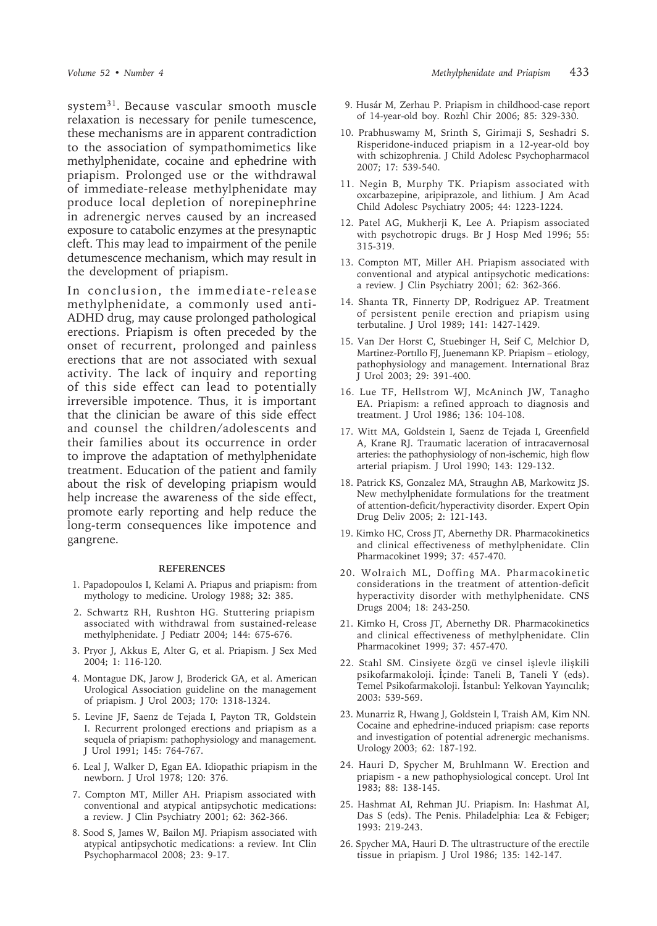system31. Because vascular smooth muscle relaxation is necessary for penile tumescence, these mechanisms are in apparent contradiction to the association of sympathomimetics like methylphenidate, cocaine and ephedrine with priapism. Prolonged use or the withdrawal of immediate-release methylphenidate may produce local depletion of norepinephrine in adrenergic nerves caused by an increased exposure to catabolic enzymes at the presynaptic cleft. This may lead to impairment of the penile detumescence mechanism, which may result in the development of priapism.

In conclusion, the immediate-release methylphenidate, a commonly used anti-ADHD drug, may cause prolonged pathological erections. Priapism is often preceded by the onset of recurrent, prolonged and painless erections that are not associated with sexual activity. The lack of inquiry and reporting of this side effect can lead to potentially irreversible impotence. Thus, it is important that the clinician be aware of this side effect and counsel the children/adolescents and their families about its occurrence in order to improve the adaptation of methylphenidate treatment. Education of the patient and family about the risk of developing priapism would help increase the awareness of the side effect, promote early reporting and help reduce the long-term consequences like impotence and gangrene.

## **REFERENCES**

- 1. Papadopoulos I, Kelami A. Priapus and priapism: from mythology to medicine. Urology 1988; 32: 385.
- 2. Schwartz RH, Rushton HG. Stuttering priapism associated with withdrawal from sustained-release methylphenidate. J Pediatr 2004; 144: 675-676.
- 3. Pryor J, Akkus E, Alter G, et al. Priapism. J Sex Med 2004; 1: 116-120.
- 4. Montague DK, Jarow J, Broderick GA, et al. American Urological Association guideline on the management of priapism. J Urol 2003; 170: 1318-1324.
- 5. Levine JF, Saenz de Tejada I, Payton TR, Goldstein I. Recurrent prolonged erections and priapism as a sequela of priapism: pathophysiology and management. J Urol 1991; 145: 764-767.
- 6. Leal J, Walker D, Egan EA. Idiopathic priapism in the newborn. J Urol 1978; 120: 376.
- 7. Compton MT, Miller AH. Priapism associated with conventional and atypical antipsychotic medications: a review. J Clin Psychiatry 2001; 62: 362-366.
- 8. Sood S, James W, Bailon MJ. Priapism associated with atypical antipsychotic medications: a review. Int Clin Psychopharmacol 2008; 23: 9-17.
- 9. Husár M, Zerhau P. Priapism in childhood-case report of 14-year-old boy. Rozhl Chir 2006; 85: 329-330.
- 10. Prabhuswamy M, Srinth S, Girimaji S, Seshadri S. Risperidone-induced priapism in a 12-year-old boy with schizophrenia. J Child Adolesc Psychopharmacol 2007; 17: 539-540.
- 11. Negin B, Murphy TK. Priapism associated with oxcarbazepine, aripiprazole, and lithium. J Am Acad Child Adolesc Psychiatry 2005; 44: 1223-1224.
- 12. Patel AG, Mukherji K, Lee A. Priapism associated with psychotropic drugs. Br J Hosp Med 1996; 55: 315-319.
- 13. Compton MT, Miller AH. Priapism associated with conventional and atypical antipsychotic medications: a review. J Clin Psychiatry 2001; 62: 362-366.
- 14. Shanta TR, Finnerty DP, Rodriguez AP. Treatment of persistent penile erection and priapism using terbutaline. J Urol 1989; 141: 1427-1429.
- 15. Van Der Horst C, Stuebinger H, Seif C, Melchior D, Martinez-Portıllo FJ, Juenemann KP. Priapism – etiology, pathophysiology and management. International Braz J Urol 2003; 29: 391-400.
- 16. Lue TF, Hellstrom WJ, McAninch JW, Tanagho EA. Priapism: a refined approach to diagnosis and treatment. J Urol 1986; 136: 104-108.
- 17. Witt MA, Goldstein I, Saenz de Tejada I, Greenfield A, Krane RJ. Traumatic laceration of intracavernosal arteries: the pathophysiology of non-ischemic, high flow arterial priapism. J Urol 1990; 143: 129-132.
- 18. Patrick KS, Gonzalez MA, Straughn AB, Markowitz JS. New methylphenidate formulations for the treatment of attention-deficit/hyperactivity disorder. Expert Opin Drug Deliv 2005; 2: 121-143.
- 19. Kimko HC, Cross JT, Abernethy DR. Pharmacokinetics and clinical effectiveness of methylphenidate. Clin Pharmacokinet 1999; 37: 457-470.
- 20. Wolraich ML, Doffing MA. Pharmacokinetic considerations in the treatment of attention-deficit hyperactivity disorder with methylphenidate. CNS Drugs 2004; 18: 243-250.
- 21. Kimko H, Cross JT, Abernethy DR. Pharmacokinetics and clinical effectiveness of methylphenidate. Clin Pharmacokinet 1999; 37: 457-470.
- 22. Stahl SM. Cinsiyete özgü ve cinsel işlevle ilişkili psikofarmakoloji. İçinde: Taneli B, Taneli Y (eds). Temel Psikofarmakoloji. İstanbul: Yelkovan Yayıncılık; 2003: 539-569.
- 23. Munarriz R, Hwang J, Goldstein I, Traish AM, Kim NN. Cocaine and ephedrine-induced priapism: case reports and investigation of potential adrenergic mechanisms. Urology 2003; 62: 187-192.
- 24. Hauri D, Spycher M, Bruhlmann W. Erection and priapism - a new pathophysiological concept. Urol Int 1983; 88: 138-145.
- 25. Hashmat AI, Rehman JU. Priapism. In: Hashmat AI, Das S (eds). The Penis. Philadelphia: Lea & Febiger; 1993: 219-243.
- 26. Spycher MA, Hauri D. The ultrastructure of the erectile tissue in priapism. J Urol 1986; 135: 142-147.